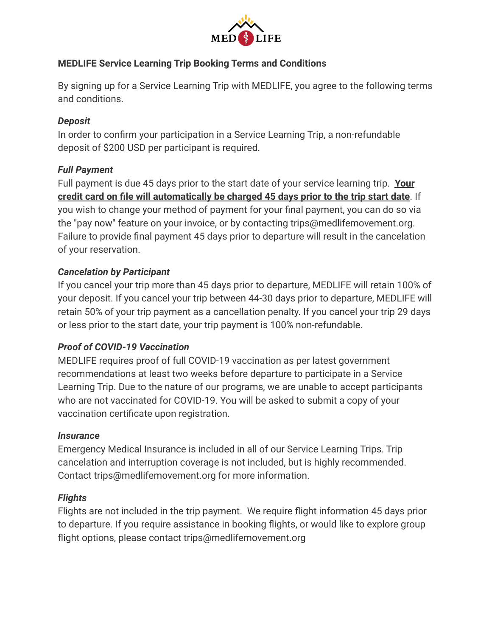

## **MEDLIFE Service Learning Trip Booking Terms and Conditions**

By signing up for a Service Learning Trip with MEDLIFE, you agree to the following terms and conditions.

## *Deposit*

In order to confirm your participation in a Service Learning Trip, a non-refundable deposit of \$200 USD per participant is required.

## *Full Payment*

Full payment is due 45 days prior to the start date of your service learning trip. **Your credit card on file will automatically be charged 45 days prior to the trip start date**. If you wish to change your method of payment for your final payment, you can do so via the "pay now" feature on your invoice, or by contacting trips@medlifemovement.org. Failure to provide final payment 45 days prior to departure will result in the cancelation of your reservation.

# *Cancelation by Participant*

If you cancel your trip more than 45 days prior to departure, MEDLIFE will retain 100% of your deposit. If you cancel your trip between 44-30 days prior to departure, MEDLIFE will retain 50% of your trip payment as a cancellation penalty. If you cancel your trip 29 days or less prior to the start date, your trip payment is 100% non-refundable.

## *Proof of COVID-19 Vaccination*

MEDLIFE requires proof of full COVID-19 vaccination as per latest government recommendations at least two weeks before departure to participate in a Service Learning Trip. Due to the nature of our programs, we are unable to accept participants who are not vaccinated for COVID-19. You will be asked to submit a copy of your vaccination certificate upon registration.

## *Insurance*

Emergency Medical Insurance is included in all of our Service Learning Trips. Trip cancelation and interruption coverage is not included, but is highly recommended. Contact trips@medlifemovement.org for more information.

## *Flights*

Flights are not included in the trip payment. We require flight information 45 days prior to departure. If you require assistance in booking flights, or would like to explore group flight options, please contact trips@medlifemovement.org